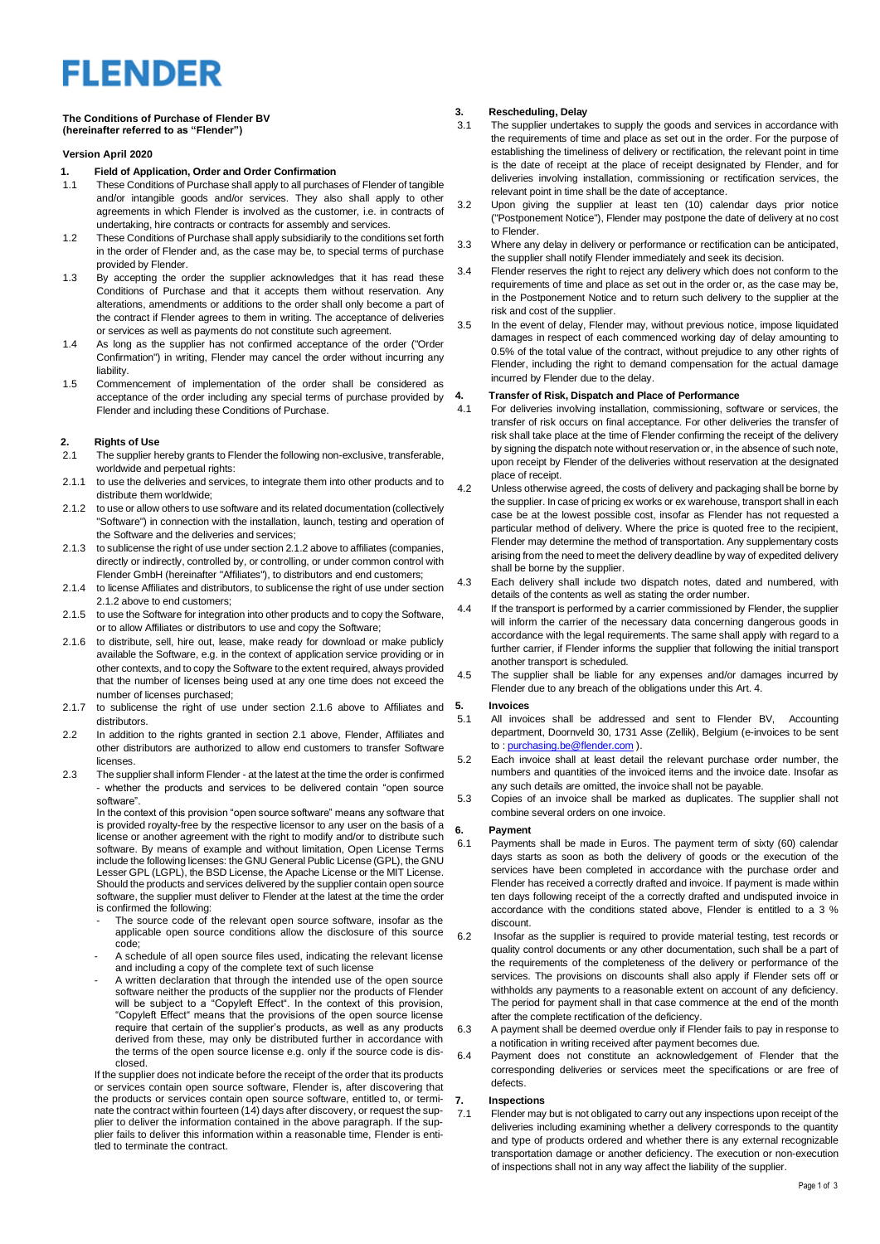# **FLENDER**

#### **The Conditions of Purchase of Flender BV (hereinafter referred to as "Flender")**

#### **Version April 2020**

### **1. Field of Application, Order and Order Confirmation**

- These Conditions of Purchase shall apply to all purchases of Flender of tangible and/or intangible goods and/or services. They also shall apply to other agreements in which Flender is involved as the customer, i.e. in contracts of undertaking, hire contracts or contracts for assembly and services.
- 1.2 These Conditions of Purchase shall apply subsidiarily to the conditions set forth in the order of Flender and, as the case may be, to special terms of purchase provided by Flender.
- 1.3 By accepting the order the supplier acknowledges that it has read these Conditions of Purchase and that it accepts them without reservation. Any alterations, amendments or additions to the order shall only become a part of the contract if Flender agrees to them in writing. The acceptance of deliveries or services as well as payments do not constitute such agreement.
- 1.4 As long as the supplier has not confirmed acceptance of the order ("Order Confirmation") in writing, Flender may cancel the order without incurring any liability.
- 1.5 Commencement of implementation of the order shall be considered as acceptance of the order including any special terms of purchase provided by Flender and including these Conditions of Purchase.

#### **2. Rights of Use**

- 2.1 The supplier hereby grants to Flender the following non-exclusive, transferable, worldwide and perpetual rights:
- 2.1.1 to use the deliveries and services, to integrate them into other products and to distribute them worldwide;
- 2.1.2 to use or allow others to use software and its related documentation (collectively "Software") in connection with the installation, launch, testing and operation of the Software and the deliveries and services;
- 2.1.3 to sublicense the right of use under section 2.1.2 above to affiliates (companies, directly or indirectly, controlled by, or controlling, or under common control with Flender GmbH (hereinafter "Affiliates"), to distributors and end customers;
- 2.1.4 to license Affiliates and distributors, to sublicense the right of use under section 2.1.2 above to end customers;
- 2.1.5 to use the Software for integration into other products and to copy the Software. or to allow Affiliates or distributors to use and copy the Software;
- 2.1.6 to distribute, sell, hire out, lease, make ready for download or make publicly available the Software, e.g. in the context of application service providing or in other contexts, and to copy the Software to the extent required, always provided that the number of licenses being used at any one time does not exceed the number of licenses purchased;
- 2.1.7 to sublicense the right of use under section 2.1.6 above to Affiliates and 5. distributors.
- 2.2 In addition to the rights granted in section 2.1 above, Flender, Affiliates and other distributors are authorized to allow end customers to transfer Software licenses.
- 2.3 The supplier shall inform Flender at the latest at the time the order is confirmed - whether the products and services to be delivered contain "open source software".

In the context of this provision "open source software" means any software that is provided royalty-free by the respective licensor to any user on the basis of a license or another agreement with the right to modify and/or to distribute such software. By means of example and without limitation, Open License Terms include the following licenses: the GNU General Public License (GPL), the GNU Lesser GPL (LGPL), the BSD License, the Apache License or the MIT License. Should the products and services delivered by the supplier contain open source software, the supplier must deliver to Flender at the latest at the time the order is confirmed the following:

- The source code of the relevant open source software, insofar as the applicable open source conditions allow the disclosure of this source code;
- A schedule of all open source files used, indicating the relevant license and including a copy of the complete text of such license
- A written declaration that through the intended use of the open source software neither the products of the supplier nor the products of Flender will be subject to a "Copyleft Effect". In the context of this provision, "Copyleft Effect" means that the provisions of the open source license require that certain of the supplier's products, as well as any products derived from these, may only be distributed further in accordance with the terms of the open source license e.g. only if the source code is disclosed.

If the supplier does not indicate before the receipt of the order that its products or services contain open source software, Flender is, after discovering that the products or services contain open source software, entitled to, or terminate the contract within fourteen (14) days after discovery, or request the supplier to deliver the information contained in the above paragraph. If the supplier fails to deliver this information within a reasonable time, Flender is entiplier talls to deliver the contract.

## **3. Rescheduling, Delay**

- The supplier undertakes to supply the goods and services in accordance with the requirements of time and place as set out in the order. For the purpose of establishing the timeliness of delivery or rectification, the relevant point in time is the date of receipt at the place of receipt designated by Flender, and for deliveries involving installation, commissioning or rectification services, the relevant point in time shall be the date of acceptance.
- 3.2 Upon giving the supplier at least ten (10) calendar days prior notice ("Postponement Notice"), Flender may postpone the date of delivery at no cost to Flender.
- 3.3 Where any delay in delivery or performance or rectification can be anticipated, the supplier shall notify Flender immediately and seek its decision.
- 3.4 Flender reserves the right to reject any delivery which does not conform to the requirements of time and place as set out in the order or, as the case may be, in the Postponement Notice and to return such delivery to the supplier at the risk and cost of the supplier.
- 3.5 In the event of delay, Flender may, without previous notice, impose liquidated damages in respect of each commenced working day of delay amounting to 0.5% of the total value of the contract, without prejudice to any other rights of Flender, including the right to demand compensation for the actual damage incurred by Flender due to the delay.

### **4. Transfer of Risk, Dispatch and Place of Performance**

- 4.1 For deliveries involving installation, commissioning, software or services, the transfer of risk occurs on final acceptance. For other deliveries the transfer of risk shall take place at the time of Flender confirming the receipt of the delivery by signing the dispatch note without reservation or, in the absence of such note upon receipt by Flender of the deliveries without reservation at the designated place of receipt.
- 4.2 Unless otherwise agreed, the costs of delivery and packaging shall be borne by the supplier. In case of pricing ex works or ex warehouse, transport shall in each case be at the lowest possible cost, insofar as Flender has not requested a particular method of delivery. Where the price is quoted free to the recipient, Flender may determine the method of transportation. Any supplementary costs arising from the need to meet the delivery deadline by way of expedited delivery shall be borne by the supplier.
- 4.3 Each delivery shall include two dispatch notes, dated and numbered, with details of the contents as well as stating the order number.
- 4.4 If the transport is performed by a carrier commissioned by Flender, the supplier will inform the carrier of the necessary data concerning dangerous goods in accordance with the legal requirements. The same shall apply with regard to a further carrier, if Flender informs the supplier that following the initial transport another transport is scheduled.
- 4.5 The supplier shall be liable for any expenses and/or damages incurred by Flender due to any breach of the obligations under this Art. 4.

#### **5. Invoices**

- 5.1 All invoices shall be addressed and sent to Flender BV, Accounting department, Doornveld 30, 1731 Asse (Zellik), Belgium (e-invoices to be sent to : [purchasing.be@flender.com](mailto:purchasing.be@flender.com) ).
- 5.2 Each invoice shall at least detail the relevant purchase order number, the numbers and quantities of the invoiced items and the invoice date. Insofar as any such details are omitted, the invoice shall not be payable.
- 5.3 Copies of an invoice shall be marked as duplicates. The supplier shall not combine several orders on one invoice.

#### **6. Payment**

- 6.1 Payments shall be made in Euros. The payment term of sixty (60) calendar days starts as soon as both the delivery of goods or the execution of the services have been completed in accordance with the purchase order and Flender has received a correctly drafted and invoice. If payment is made within ten days following receipt of the a correctly drafted and undisputed invoice in accordance with the conditions stated above, Flender is entitled to a 3 % discount.
- 6.2 Insofar as the supplier is required to provide material testing, test records or quality control documents or any other documentation, such shall be a part of the requirements of the completeness of the delivery or performance of the services. The provisions on discounts shall also apply if Flender sets off or withholds any payments to a reasonable extent on account of any deficiency. The period for payment shall in that case commence at the end of the month after the complete rectification of the deficiency.
- 6.3 A payment shall be deemed overdue only if Flender fails to pay in response to a notification in writing received after payment becomes due.
- 6.4 Payment does not constitute an acknowledgement of Flender that the corresponding deliveries or services meet the specifications or are free of defects.

#### **7. Inspections**

7.1 Flender may but is not obligated to carry out any inspections upon receipt of the deliveries including examining whether a delivery corresponds to the quantity and type of products ordered and whether there is any external recognizable transportation damage or another deficiency. The execution or non-execution of inspections shall not in any way affect the liability of the supplier.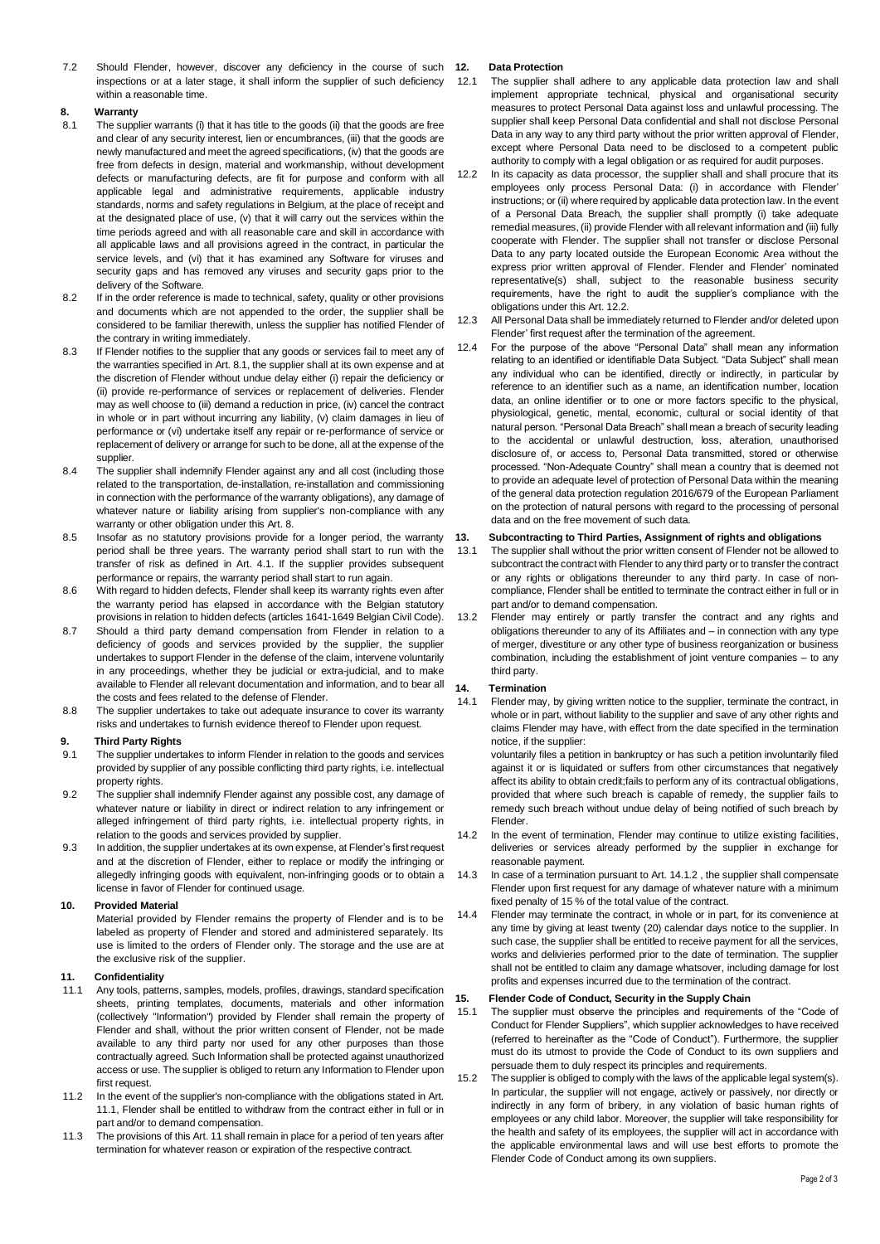7.2 Should Flender, however, discover any deficiency in the course of such 12. inspections or at a later stage, it shall inform the supplier of such deficiency within a reasonable time.

# **8. Warranty**

- The supplier warrants (i) that it has title to the goods (ii) that the goods are free and clear of any security interest, lien or encumbrances, (iii) that the goods are newly manufactured and meet the agreed specifications, (iv) that the goods are free from defects in design, material and workmanship, without development defects or manufacturing defects, are fit for purpose and conform with all applicable legal and administrative requirements, applicable industry standards, norms and safety regulations in Belgium, at the place of receipt and at the designated place of use, (v) that it will carry out the services within the time periods agreed and with all reasonable care and skill in accordance with all applicable laws and all provisions agreed in the contract, in particular the service levels, and (vi) that it has examined any Software for viruses and security gaps and has removed any viruses and security gaps prior to the delivery of the Software.
- 8.2 If in the order reference is made to technical, safety, quality or other provisions and documents which are not appended to the order, the supplier shall be considered to be familiar therewith, unless the supplier has notified Flender of the contrary in writing immediately.
- 8.3 If Flender notifies to the supplier that any goods or services fail to meet any of the warranties specified in Art. 8.1, the supplier shall at its own expense and at the discretion of Flender without undue delay either (i) repair the deficiency or (ii) provide re-performance of services or replacement of deliveries. Flender may as well choose to (iii) demand a reduction in price, (iv) cancel the contract in whole or in part without incurring any liability, (v) claim damages in lieu of performance or (vi) undertake itself any repair or re-performance of service or replacement of delivery or arrange for such to be done, all at the expense of the supplier.
- 8.4 The supplier shall indemnify Flender against any and all cost (including those related to the transportation, de-installation, re-installation and commissioning in connection with the performance of the warranty obligations), any damage of whatever nature or liability arising from supplier's non-compliance with any warranty or other obligation under this Art. 8.
- 8.5 Insofar as no statutory provisions provide for a longer period, the warranty 13. period shall be three years. The warranty period shall start to run with the transfer of risk as defined in Art. 4.1. If the supplier provides subsequent performance or repairs, the warranty period shall start to run again.
- 8.6 With regard to hidden defects, Flender shall keep its warranty rights even after the warranty period has elapsed in accordance with the Belgian statutory provisions in relation to hidden defects (articles 1641-1649 Belgian Civil Code).
- 8.7 Should a third party demand compensation from Flender in relation to a deficiency of goods and services provided by the supplier, the supplier undertakes to support Flender in the defense of the claim, intervene voluntarily in any proceedings, whether they be judicial or extra-judicial, and to make available to Flender all relevant documentation and information, and to bear all 14. the costs and fees related to the defense of Flender.
- 8.8 The supplier undertakes to take out adequate insurance to cover its warranty risks and undertakes to furnish evidence thereof to Flender upon request.

#### **9. Third Party Rights**

- 9.1 The supplier undertakes to inform Flender in relation to the goods and services provided by supplier of any possible conflicting third party rights, i.e. intellectual property rights.
- 9.2 The supplier shall indemnify Flender against any possible cost, any damage of whatever nature or liability in direct or indirect relation to any infringement or alleged infringement of third party rights, i.e. intellectual property rights, in relation to the goods and services provided by supplier.
- 9.3 In addition, the supplier undertakes at its own expense, at Flender's first request and at the discretion of Flender, either to replace or modify the infringing or allegedly infringing goods with equivalent, non-infringing goods or to obtain a license in favor of Flender for continued usage.

#### **10. Provided Material**

Material provided by Flender remains the property of Flender and is to be labeled as property of Flender and stored and administered separately. Its use is limited to the orders of Flender only. The storage and the use are at the exclusive risk of the supplier.

### **11. Confidentiality**

- 11.1 Any tools, patterns, samples, models, profiles, drawings, standard specification sheets, printing templates, documents, materials and other information (collectively "Information") provided by Flender shall remain the property of Flender and shall, without the prior written consent of Flender, not be made available to any third party nor used for any other purposes than those contractually agreed. Such Information shall be protected against unauthorized access or use. The supplier is obliged to return any Information to Flender upon first request.
- 11.2 In the event of the supplier's non-compliance with the obligations stated in Art. 11.1, Flender shall be entitled to withdraw from the contract either in full or in part and/or to demand compensation.
- 11.3 The provisions of this Art. 11 shall remain in place for a period of ten years after termination for whatever reason or expiration of the respective contract.

#### **12. Data Protection**

- 12.1 The supplier shall adhere to any applicable data protection law and shall implement appropriate technical, physical and organisational security measures to protect Personal Data against loss and unlawful processing. The supplier shall keep Personal Data confidential and shall not disclose Personal Data in any way to any third party without the prior written approval of Flender, except where Personal Data need to be disclosed to a competent public authority to comply with a legal obligation or as required for audit purposes.
- <span id="page-1-0"></span>12.2 In its capacity as data processor, the supplier shall and shall procure that its employees only process Personal Data: (i) in accordance with Flender' instructions; or (ii) where required by applicable data protection law. In the event of a Personal Data Breach, the supplier shall promptly (i) take adequate remedial measures, (ii) provide Flender with all relevant information and (iii) fully cooperate with Flender. The supplier shall not transfer or disclose Personal Data to any party located outside the European Economic Area without the express prior written approval of Flender. Flender and Flender' nominated representative(s) shall, subject to the reasonable business security requirements, have the right to audit the supplier's compliance with the obligations under this Art[. 12.2.](#page-1-0)
- 12.3 All Personal Data shall be immediately returned to Flender and/or deleted upon Flender' first request after the termination of the agreement.
- 12.4 For the purpose of the above "Personal Data" shall mean any information relating to an identified or identifiable Data Subject. "Data Subject" shall mean any individual who can be identified, directly or indirectly, in particular by reference to an identifier such as a name, an identification number, location data, an online identifier or to one or more factors specific to the physical, physiological, genetic, mental, economic, cultural or social identity of that natural person. "Personal Data Breach" shall mean a breach of security leading to the accidental or unlawful destruction, loss, alteration, unauthorised disclosure of, or access to, Personal Data transmitted, stored or otherwise processed. "Non-Adequate Country" shall mean a country that is deemed not to provide an adequate level of protection of Personal Data within the meaning of the general data protection regulation 2016/679 of the European Parliament on the protection of natural persons with regard to the processing of personal data and on the free movement of such data.

#### **13. Subcontracting to Third Parties, Assignment of rights and obligations**

- 13.1 The supplier shall without the prior written consent of Flender not be allowed to subcontract the contract with Flender to any third party or to transfer the contract or any rights or obligations thereunder to any third party. In case of noncompliance, Flender shall be entitled to terminate the contract either in full or in part and/or to demand compensation.
- Flender may entirely or partly transfer the contract and any rights and obligations thereunder to any of its Affiliates and – in connection with any type of merger, divestiture or any other type of business reorganization or business combination, including the establishment of joint venture companies – to any third party.

#### **14. Termination**

14.1 Flender may, by giving written notice to the supplier, terminate the contract, in whole or in part, without liability to the supplier and save of any other rights and claims Flender may have, with effect from the date specified in the termination notice, if the supplier:

voluntarily files a petition in bankruptcy or has such a petition involuntarily filed against it or is liquidated or suffers from other circumstances that negatively affect its ability to obtain credit;fails to perform any of its contractual obligations, provided that where such breach is capable of remedy, the supplier fails to remedy such breach without undue delay of being notified of such breach by Flender.

- 14.2 In the event of termination, Flender may continue to utilize existing facilities, deliveries or services already performed by the supplier in exchange for reasonable payment.
- 14.3 In case of a termination pursuant to Art. 14.1.2 , the supplier shall compensate Flender upon first request for any damage of whatever nature with a minimum fixed penalty of 15 % of the total value of the contract.
- 14.4 Flender may terminate the contract, in whole or in part, for its convenience at any time by giving at least twenty (20) calendar days notice to the supplier. In such case, the supplier shall be entitled to receive payment for all the services, works and delivieries performed prior to the date of termination. The supplier shall not be entitled to claim any damage whatsover, including damage for lost profits and expenses incurred due to the termination of the contract.

#### **15. Flender Code of Conduct, Security in the Supply Chain**

- 15.1 The supplier must observe the principles and requirements of the "Code of Conduct for Flender Suppliers", which supplier acknowledges to have received (referred to hereinafter as the "Code of Conduct"). Furthermore, the supplier must do its utmost to provide the Code of Conduct to its own suppliers and persuade them to duly respect its principles and requirements.
- The supplier is obliged to comply with the laws of the applicable legal system(s). In particular, the supplier will not engage, actively or passively, nor directly or indirectly in any form of bribery, in any violation of basic human rights of employees or any child labor. Moreover, the supplier will take responsibility for the health and safety of its employees, the supplier will act in accordance with the applicable environmental laws and will use best efforts to promote the Flender Code of Conduct among its own suppliers.